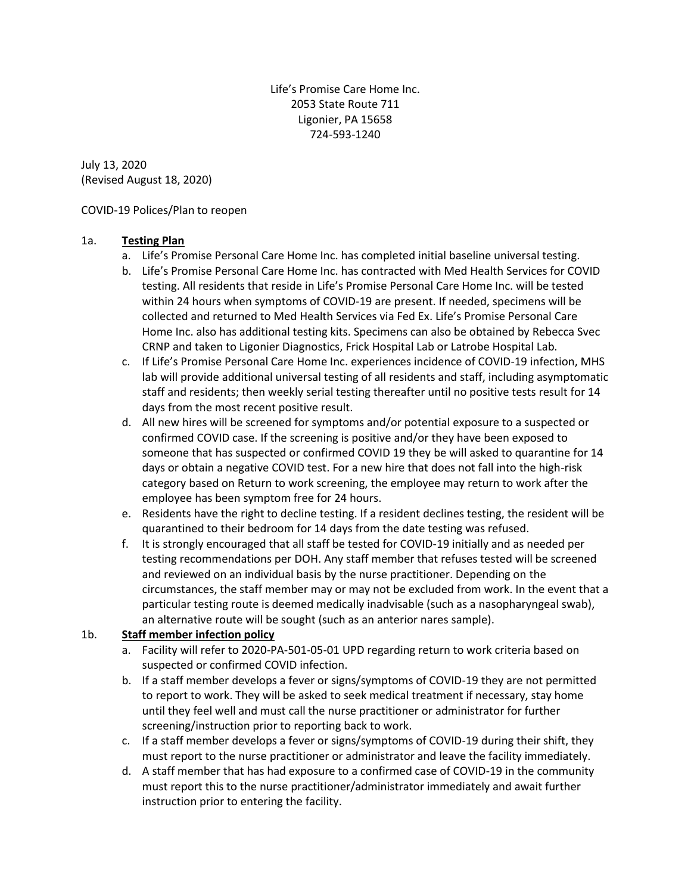Life's Promise Care Home Inc. 2053 State Route 711 Ligonier, PA 15658 724-593-1240

July 13, 2020 (Revised August 18, 2020)

COVID-19 Polices/Plan to reopen

### 1a. **Testing Plan**

- a. Life's Promise Personal Care Home Inc. has completed initial baseline universal testing.
- b. Life's Promise Personal Care Home Inc. has contracted with Med Health Services for COVID testing. All residents that reside in Life's Promise Personal Care Home Inc. will be tested within 24 hours when symptoms of COVID-19 are present. If needed, specimens will be collected and returned to Med Health Services via Fed Ex. Life's Promise Personal Care Home Inc. also has additional testing kits. Specimens can also be obtained by Rebecca Svec CRNP and taken to Ligonier Diagnostics, Frick Hospital Lab or Latrobe Hospital Lab.
- c. If Life's Promise Personal Care Home Inc. experiences incidence of COVID-19 infection, MHS lab will provide additional universal testing of all residents and staff, including asymptomatic staff and residents; then weekly serial testing thereafter until no positive tests result for 14 days from the most recent positive result.
- d. All new hires will be screened for symptoms and/or potential exposure to a suspected or confirmed COVID case. If the screening is positive and/or they have been exposed to someone that has suspected or confirmed COVID 19 they be will asked to quarantine for 14 days or obtain a negative COVID test. For a new hire that does not fall into the high-risk category based on Return to work screening, the employee may return to work after the employee has been symptom free for 24 hours.
- e. Residents have the right to decline testing. If a resident declines testing, the resident will be quarantined to their bedroom for 14 days from the date testing was refused.
- f. It is strongly encouraged that all staff be tested for COVID-19 initially and as needed per testing recommendations per DOH. Any staff member that refuses tested will be screened and reviewed on an individual basis by the nurse practitioner. Depending on the circumstances, the staff member may or may not be excluded from work. In the event that a particular testing route is deemed medically inadvisable (such as a nasopharyngeal swab), an alternative route will be sought (such as an anterior nares sample).

# 1b. **Staff member infection policy**

- a. Facility will refer to 2020-PA-501-05-01 UPD regarding return to work criteria based on suspected or confirmed COVID infection.
- b. If a staff member develops a fever or signs/symptoms of COVID-19 they are not permitted to report to work. They will be asked to seek medical treatment if necessary, stay home until they feel well and must call the nurse practitioner or administrator for further screening/instruction prior to reporting back to work.
- c. If a staff member develops a fever or signs/symptoms of COVID-19 during their shift, they must report to the nurse practitioner or administrator and leave the facility immediately.
- d. A staff member that has had exposure to a confirmed case of COVID-19 in the community must report this to the nurse practitioner/administrator immediately and await further instruction prior to entering the facility.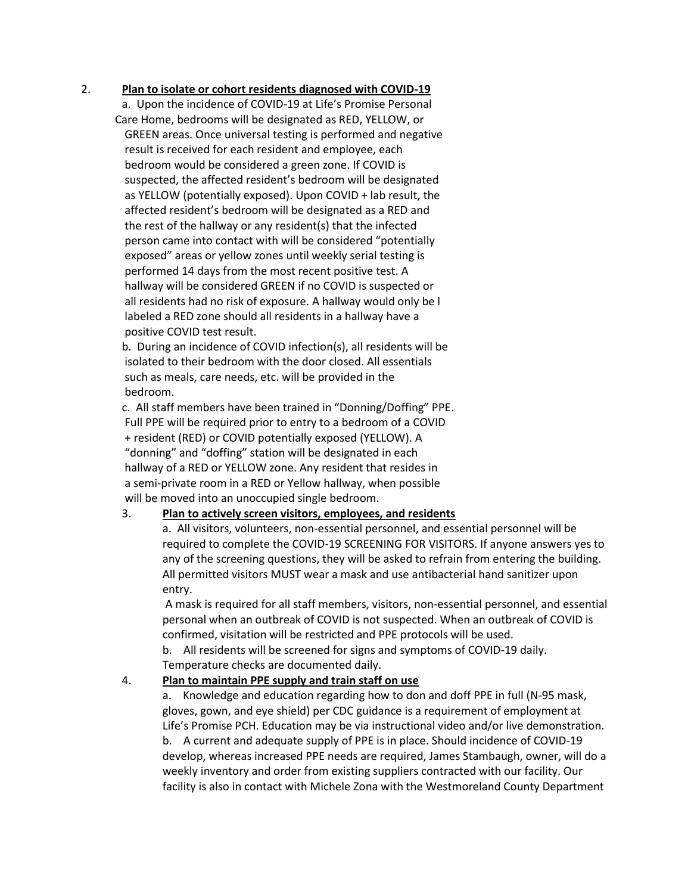#### 2. **Plan to isolate or cohort residents diagnosed with COVID-19**

a. Upon the incidence of COVID-19 at Life's Promise Personal Care Home, bedrooms will be designated as RED, YELLOW, or GREEN areas. Once universal testing is performed and negative result is received for each resident and employee, each bedroom would be considered a green zone. If COVID is suspected, the affected resident's bedroom will be designated as YELLOW (potentially exposed). Upon COVID + lab result, the affected resident's bedroom will be designated as a RED and the rest of the hallway or any resident(s) that the infected person came into contact with will be considered "potentially exposed" areas or yellow zones until weekly serial testing is performed 14 days from the most recent positive test. A hallway will be considered GREEN if no COVID is suspected or all residents had no risk of exposure. A hallway would only be l labeled a RED zone should all residents in a hallway have a positive COVID test result.

b. During an incidence of COVID infection(s), all residents will be isolated to their bedroom with the door closed. All essentials such as meals, care needs, etc. will be provided in the bedroom.

c. All staff members have been trained in "Donning/Doffing" PPE. Full PPE will be required prior to entry to a bedroom of a COVID + resident (RED) or COVID potentially exposed (YELLOW). A "donning" and "doffing" station will be designated in each hallway of a RED or YELLOW zone. Any resident that resides in a semi-private room in a RED or Yellow hallway, when possible will be moved into an unoccupied single bedroom.

#### 3. **Plan to actively screen visitors, employees, and residents**

a. All visitors, volunteers, non-essential personnel, and essential personnel will be required to complete the COVID-19 SCREENING FOR VISITORS. If anyone answers yes to any of the screening questions, they will be asked to refrain from entering the building. All permitted visitors MUST wear a mask and use antibacterial hand sanitizer upon entry.

A mask is required for all staff members, visitors, non-essential personnel, and essential personal when an outbreak of COVID is not suspected. When an outbreak of COVID is confirmed, visitation will be restricted and PPE protocols will be used.

b. All residents will be screened for signs and symptoms of COVID-19 daily. Temperature checks are documented daily.

#### 4. **Plan to maintain PPE supply and train staff on use**

a. Knowledge and education regarding how to don and doff PPE in full (N-95 mask, gloves, gown, and eye shield) per CDC guidance is a requirement of employment at Life's Promise PCH. Education may be via instructional video and/or live demonstration. b. A current and adequate supply of PPE is in place. Should incidence of COVID-19 develop, whereas increased PPE needs are required, James Stambaugh, owner, will do a weekly inventory and order from existing suppliers contracted with our facility. Our facility is also in contact with Michele Zona with the Westmoreland County Department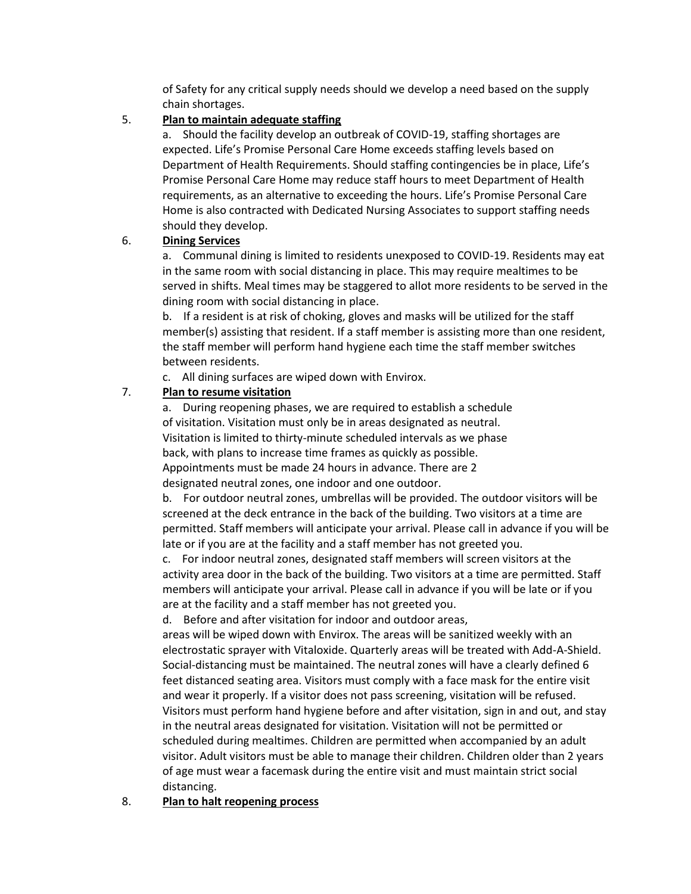of Safety for any critical supply needs should we develop a need based on the supply chain shortages.

## 5. **Plan to maintain adequate staffing**

a. Should the facility develop an outbreak of COVID-19, staffing shortages are expected. Life's Promise Personal Care Home exceeds staffing levels based on Department of Health Requirements. Should staffing contingencies be in place, Life's Promise Personal Care Home may reduce staff hours to meet Department of Health requirements, as an alternative to exceeding the hours. Life's Promise Personal Care Home is also contracted with Dedicated Nursing Associates to support staffing needs should they develop.

## 6. **Dining Services**

a. Communal dining is limited to residents unexposed to COVID-19. Residents may eat in the same room with social distancing in place. This may require mealtimes to be served in shifts. Meal times may be staggered to allot more residents to be served in the dining room with social distancing in place.

b. If a resident is at risk of choking, gloves and masks will be utilized for the staff member(s) assisting that resident. If a staff member is assisting more than one resident, the staff member will perform hand hygiene each time the staff member switches between residents.

c. All dining surfaces are wiped down with Envirox.

# 7. **Plan to resume visitation**

a. During reopening phases, we are required to establish a schedule of visitation. Visitation must only be in areas designated as neutral. Visitation is limited to thirty-minute scheduled intervals as we phase back, with plans to increase time frames as quickly as possible. Appointments must be made 24 hours in advance. There are 2 designated neutral zones, one indoor and one outdoor.

b. For outdoor neutral zones, umbrellas will be provided. The outdoor visitors will be screened at the deck entrance in the back of the building. Two visitors at a time are permitted. Staff members will anticipate your arrival. Please call in advance if you will be late or if you are at the facility and a staff member has not greeted you.

c. For indoor neutral zones, designated staff members will screen visitors at the activity area door in the back of the building. Two visitors at a time are permitted. Staff members will anticipate your arrival. Please call in advance if you will be late or if you are at the facility and a staff member has not greeted you.

d. Before and after visitation for indoor and outdoor areas,

areas will be wiped down with Envirox. The areas will be sanitized weekly with an electrostatic sprayer with Vitaloxide. Quarterly areas will be treated with Add-A-Shield. Social-distancing must be maintained. The neutral zones will have a clearly defined 6 feet distanced seating area. Visitors must comply with a face mask for the entire visit and wear it properly. If a visitor does not pass screening, visitation will be refused. Visitors must perform hand hygiene before and after visitation, sign in and out, and stay in the neutral areas designated for visitation. Visitation will not be permitted or scheduled during mealtimes. Children are permitted when accompanied by an adult visitor. Adult visitors must be able to manage their children. Children older than 2 years of age must wear a facemask during the entire visit and must maintain strict social distancing.

8. **Plan to halt reopening process**